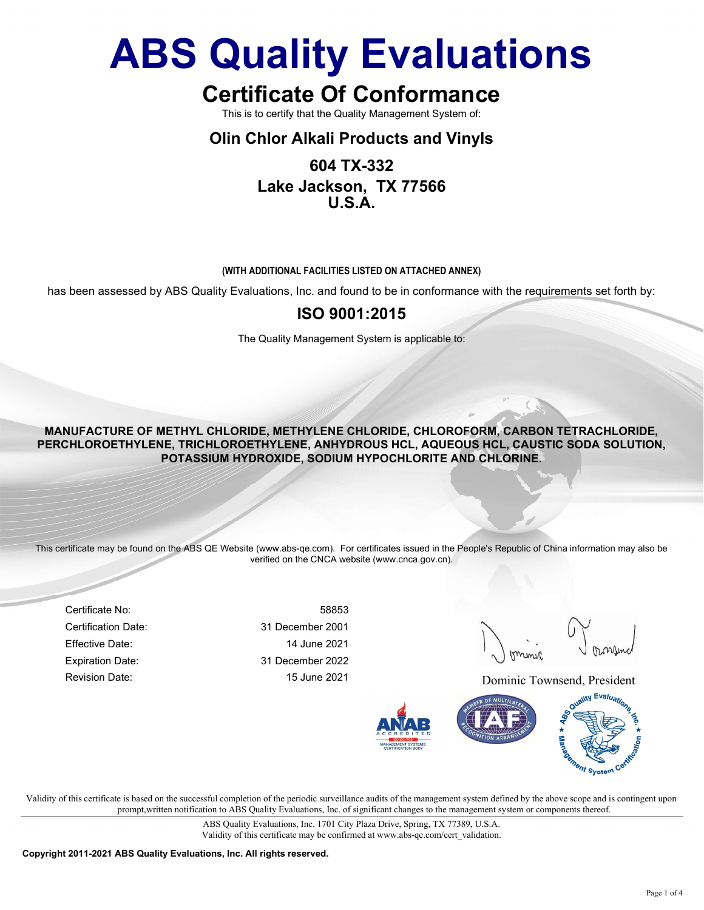## Certificate Of Conformance

This is to certify that the Quality Management System of:

#### Olin Chlor Alkali Products and Vinyls

### 604 TX-332 Lake Jackson, TX 77566 U.S.A.

#### (WITH ADDITIONAL FACILITIES LISTED ON ATTACHED ANNEX)

has been assessed by ABS Quality Evaluations, Inc. and found to be in conformance with the requirements set forth by:

#### ISO 9001:2015

The Quality Management System is applicable to:

MANUFACTURE OF METHYL CHLORIDE, METHYLENE CHLORIDE, CHLOROFORM, CARBON TETRACHLORIDE, PERCHLOROETHYLENE, TRICHLOROETHYLENE, ANHYDROUS HCL, AQUEOUS HCL, CAUSTIC SODA SOLUTION, POTASSIUM HYDROXIDE, SODIUM HYPOCHLORITE AND CHLORINE.

This certificate may be found on the ABS QE Website (www.abs-qe.com). For certificates issued in the People's Republic of China information may also be verified on the CNCA website (www.cnca.gov.cn).

Certificate No: 58853 Certification Date: 31 December 2001 Effective Date: 14 June 2021 Expiration Date: 31 December 2022

Revision Date: 15 June 2021 2021 Dominic Townsend, President



Validity of this certificate is based on the successful completion of the periodic surveillance audits of the management system defined by the above scope and is contingent upon prompt,written notification to ABS Quality Evaluations, Inc. of significant changes to the management system or components thereof.

> ABS Quality Evaluations, Inc. 1701 City Plaza Drive, Spring, TX 77389, U.S.A. Validity of this certificate may be confirmed at www.abs-qe.com/cert\_validation.

Copyright 2011-2021 ABS Quality Evaluations, Inc. All rights reserved.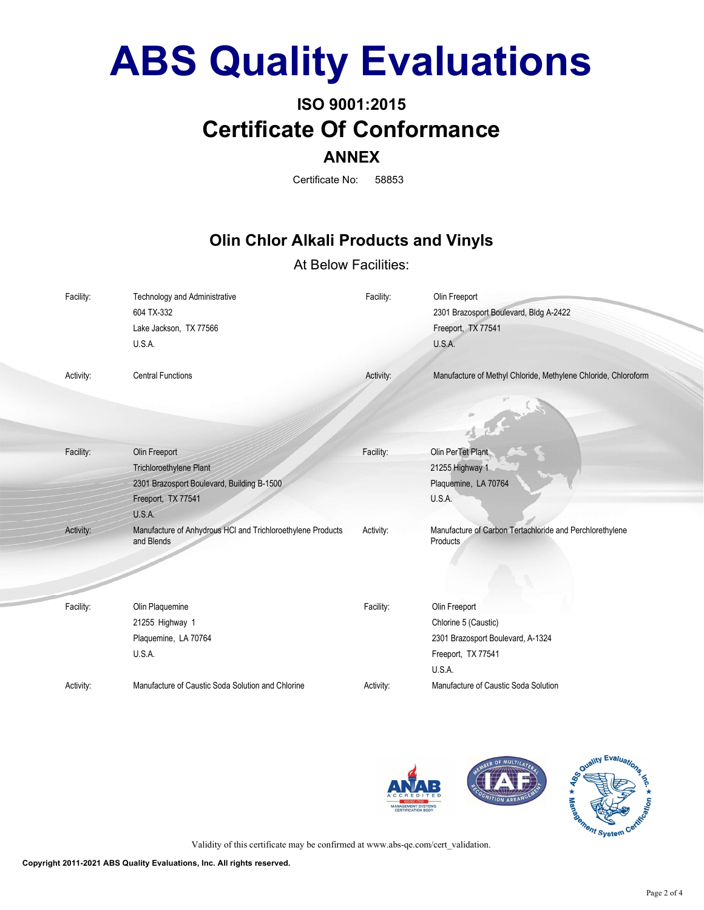## ISO 9001:2015 Certificate Of Conformance ANNEX

Certificate No: 58853

### Olin Chlor Alkali Products and Vinyls

#### At Below Facilities:

| Facility: | Technology and Administrative<br>604 TX-332<br>Lake Jackson, TX 77566<br>U.S.A.                                               | Facility: | Olin Freeport<br>2301 Brazosport Boulevard, Bldg A-2422<br>Freeport, TX 77541<br>U.S.A.                    |
|-----------|-------------------------------------------------------------------------------------------------------------------------------|-----------|------------------------------------------------------------------------------------------------------------|
| Activity: | <b>Central Functions</b>                                                                                                      | Activity: | Manufacture of Methyl Chloride, Methylene Chloride, Chloroform                                             |
| Facility: | Olin Freeport<br><b>Trichloroethylene Plant</b><br>2301 Brazosport Boulevard, Building B-1500<br>Freeport, TX 77541<br>U.S.A. | Facility: | Olin PerTet Plant<br>21255 Highway 1<br>Plaquemine, LA 70764<br>U.S.A.                                     |
| Activity: | Manufacture of Anhydrous HCI and Trichloroethylene Products<br>and Blends                                                     | Activity: | Manufacture of Carbon Tertachloride and Perchlorethylene<br>Products.                                      |
| Facility: | Olin Plaquemine<br>21255 Highway 1<br>Plaquemine, LA 70764<br>U.S.A.                                                          | Facility: | Olin Freeport<br>Chlorine 5 (Caustic)<br>2301 Brazosport Boulevard, A-1324<br>Freeport, TX 77541<br>U.S.A. |
| Activity: | Manufacture of Caustic Soda Solution and Chlorine                                                                             | Activity: | Manufacture of Caustic Soda Solution                                                                       |





Validity of this certificate may be confirmed at www.abs-qe.com/cert\_validation.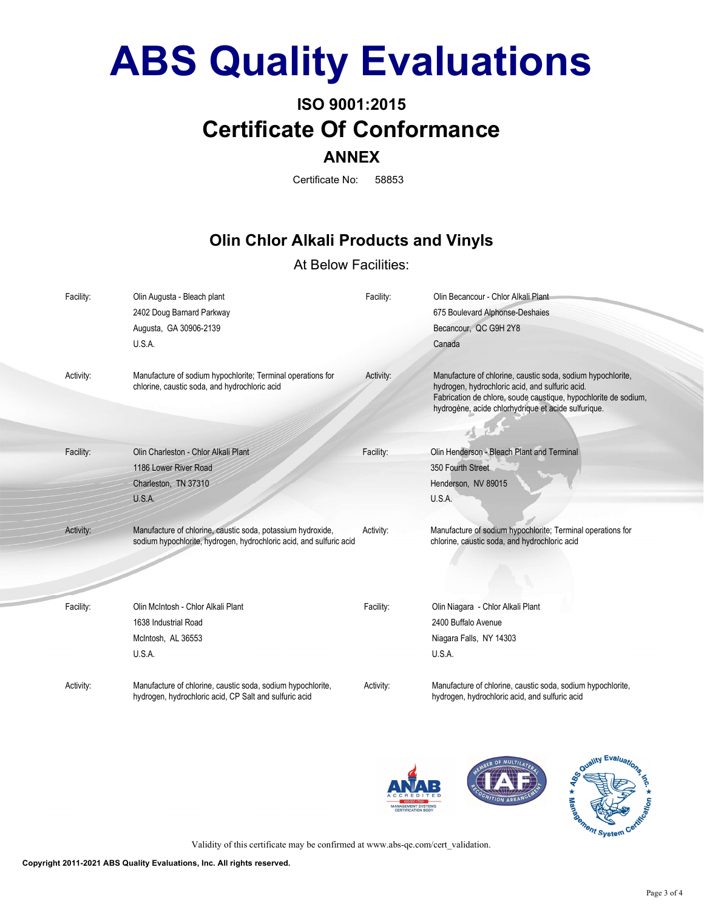## ISO 9001:2015 Certificate Of Conformance ANNEX

Certificate No: 58853

### Olin Chlor Alkali Products and Vinyls

#### At Below Facilities:

| Facility: | Olin Augusta - Bleach plant<br>2402 Doug Barnard Parkway<br>Augusta, GA 30906-2139<br>U.S.A.                                       | Facility: | Olin Becancour - Chlor Alkali Plant<br>675 Boulevard Alphonse-Deshaies<br>Becancour, QC G9H 2Y8<br>Canada                                                                                                                                |
|-----------|------------------------------------------------------------------------------------------------------------------------------------|-----------|------------------------------------------------------------------------------------------------------------------------------------------------------------------------------------------------------------------------------------------|
| Activity: | Manufacture of sodium hypochlorite; Terminal operations for<br>chlorine, caustic soda, and hydrochloric acid                       | Activity: | Manufacture of chlorine, caustic soda, sodium hypochlorite,<br>hydrogen, hydrochloric acid, and sulfuric acid.<br>Fabrication de chlore, soude caustique, hypochlorite de sodium,<br>hydrogène, acide chlorhydrique et acide sulfurique. |
| Facility: | Olin Charleston - Chlor Alkali Plant                                                                                               | Facility: | Olin Henderson - Bleach Plant and Terminal                                                                                                                                                                                               |
|           | 1186 Lower River Road                                                                                                              |           | 350 Fourth Street                                                                                                                                                                                                                        |
|           | Charleston, TN 37310                                                                                                               |           | Henderson, NV 89015                                                                                                                                                                                                                      |
|           | U.S.A.                                                                                                                             |           | U.S.A.                                                                                                                                                                                                                                   |
| Activity: | Manufacture of chlorine, caustic soda, potassium hydroxide,<br>sodium hypochlorite, hydrogen, hydrochloric acid, and sulfuric acid | Activity: | Manufacture of sodium hypochlorite; Terminal operations for<br>chlorine, caustic soda, and hydrochloric acid                                                                                                                             |
| Facility: | Olin McIntosh - Chlor Alkali Plant<br>1638 Industrial Road<br>McIntosh, AL 36553<br>U.S.A.                                         | Facility: | Olin Niagara - Chlor Alkali Plant<br>2400 Buffalo Avenue<br>Niagara Falls, NY 14303<br>U.S.A.                                                                                                                                            |
| Activity: | Manufacture of chlorine, caustic soda, sodium hypochlorite,<br>hydrogen, hydrochloric acid, CP Salt and sulfuric acid              | Activity: | Manufacture of chlorine, caustic soda, sodium hypochlorite,<br>hydrogen, hydrochloric acid, and sulfuric acid                                                                                                                            |





Validity of this certificate may be confirmed at www.abs-qe.com/cert\_validation.